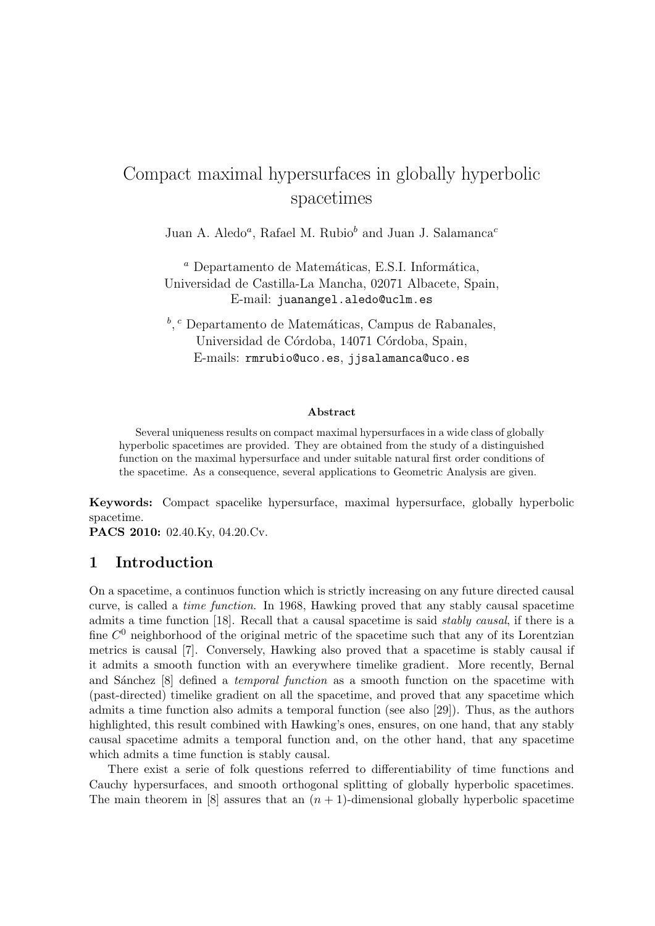# Compact maximal hypersurfaces in globally hyperbolic spacetimes

Juan A. Aledo<sup>a</sup>, Rafael M. Rubio<sup>b</sup> and Juan J. Salamanca<sup>c</sup>

 $a$  Departamento de Matemáticas, E.S.I. Informática, Universidad de Castilla-La Mancha, 02071 Albacete, Spain, E-mail: juanangel.aledo@uclm.es

<sup>b</sup>, <sup>c</sup> Departamento de Matemáticas, Campus de Rabanales, Universidad de Córdoba, 14071 Córdoba, Spain, E-mails: rmrubio@uco.es, jjsalamanca@uco.es

#### Abstract

Several uniqueness results on compact maximal hypersurfaces in a wide class of globally hyperbolic spacetimes are provided. They are obtained from the study of a distinguished function on the maximal hypersurface and under suitable natural first order conditions of the spacetime. As a consequence, several applications to Geometric Analysis are given.

Keywords: Compact spacelike hypersurface, maximal hypersurface, globally hyperbolic spacetime.

PACS 2010: 02.40.Ky, 04.20.Cv.

# 1 Introduction

On a spacetime, a continuos function which is strictly increasing on any future directed causal curve, is called a time function. In 1968, Hawking proved that any stably causal spacetime admits a time function [18]. Recall that a causal spacetime is said stably causal, if there is a fine  $C^0$  neighborhood of the original metric of the spacetime such that any of its Lorentzian metrics is causal [7]. Conversely, Hawking also proved that a spacetime is stably causal if it admits a smooth function with an everywhere timelike gradient. More recently, Bernal and Sánchez [8] defined a *temporal function* as a smooth function on the spacetime with (past-directed) timelike gradient on all the spacetime, and proved that any spacetime which admits a time function also admits a temporal function (see also [29]). Thus, as the authors highlighted, this result combined with Hawking's ones, ensures, on one hand, that any stably causal spacetime admits a temporal function and, on the other hand, that any spacetime which admits a time function is stably causal.

There exist a serie of folk questions referred to differentiability of time functions and Cauchy hypersurfaces, and smooth orthogonal splitting of globally hyperbolic spacetimes. The main theorem in [8] assures that an  $(n + 1)$ -dimensional globally hyperbolic spacetime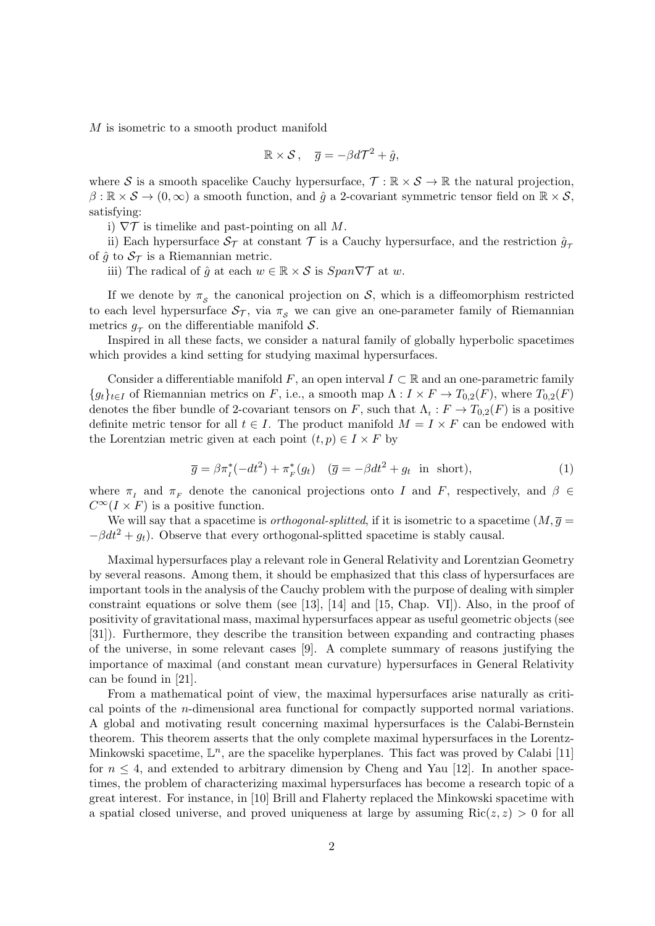M is isometric to a smooth product manifold

$$
\mathbb{R}\times S\,,\quad \overline{g}=-\beta d\mathcal{T}^2+\hat{g},
$$

where S is a smooth spacelike Cauchy hypersurface,  $\mathcal{T} : \mathbb{R} \times \mathcal{S} \to \mathbb{R}$  the natural projection,  $\beta: \mathbb{R} \times S \to (0, \infty)$  a smooth function, and  $\hat{q}$  a 2-covariant symmetric tensor field on  $\mathbb{R} \times S$ , satisfying:

i)  $\nabla \mathcal{T}$  is timelike and past-pointing on all M.

ii) Each hypersurface  $S_T$  at constant T is a Cauchy hypersurface, and the restriction  $\hat{g}_{\tau}$ of  $\hat{g}$  to  $\mathcal{S}_{\mathcal{T}}$  is a Riemannian metric.

iii) The radical of  $\hat{g}$  at each  $w \in \mathbb{R} \times S$  is  $Span \nabla \mathcal{T}$  at w.

If we denote by  $\pi<sub>S</sub>$  the canonical projection on S, which is a diffeomorphism restricted to each level hypersurface  $S_T$ , via  $\pi_s$  we can give an one-parameter family of Riemannian metrics  $g_{\tau}$  on the differentiable manifold  $S$ .

Inspired in all these facts, we consider a natural family of globally hyperbolic spacetimes which provides a kind setting for studying maximal hypersurfaces.

Consider a differentiable manifold F, an open interval  $I \subset \mathbb{R}$  and an one-parametric family  ${g_t}_{t\in I}$  of Riemannian metrics on F, i.e., a smooth map  $\Lambda: I \times F \to T_{0,2}(F)$ , where  $T_{0,2}(F)$ denotes the fiber bundle of 2-covariant tensors on F, such that  $\Lambda_t : F \to T_{0,2}(F)$  is a positive definite metric tensor for all  $t \in I$ . The product manifold  $M = I \times F$  can be endowed with the Lorentzian metric given at each point  $(t, p) \in I \times F$  by

$$
\overline{g} = \beta \pi_I^*(-dt^2) + \pi_F^*(g_t) \quad (\overline{g} = -\beta dt^2 + g_t \text{ in short}), \tag{1}
$$

where  $\pi_I$  and  $\pi_F$  denote the canonical projections onto I and F, respectively, and  $\beta \in$  $C^{\infty}(I \times F)$  is a positive function.

We will say that a spacetime is *orthogonal-splitted*, if it is isometric to a spacetime  $(M, \overline{g})$  $-\beta dt^2 + q_t$ ). Observe that every orthogonal-splitted spacetime is stably causal.

Maximal hypersurfaces play a relevant role in General Relativity and Lorentzian Geometry by several reasons. Among them, it should be emphasized that this class of hypersurfaces are important tools in the analysis of the Cauchy problem with the purpose of dealing with simpler constraint equations or solve them (see [13], [14] and [15, Chap. VI]). Also, in the proof of positivity of gravitational mass, maximal hypersurfaces appear as useful geometric objects (see [31]). Furthermore, they describe the transition between expanding and contracting phases of the universe, in some relevant cases [9]. A complete summary of reasons justifying the importance of maximal (and constant mean curvature) hypersurfaces in General Relativity can be found in [21].

From a mathematical point of view, the maximal hypersurfaces arise naturally as critical points of the n-dimensional area functional for compactly supported normal variations. A global and motivating result concerning maximal hypersurfaces is the Calabi-Bernstein theorem. This theorem asserts that the only complete maximal hypersurfaces in the Lorentz-Minkowski spacetime,  $\mathbb{L}^n$ , are the spacelike hyperplanes. This fact was proved by Calabi [11] for  $n \leq 4$ , and extended to arbitrary dimension by Cheng and Yau [12]. In another spacetimes, the problem of characterizing maximal hypersurfaces has become a research topic of a great interest. For instance, in [10] Brill and Flaherty replaced the Minkowski spacetime with a spatial closed universe, and proved uniqueness at large by assuming  $Ric(z, z) > 0$  for all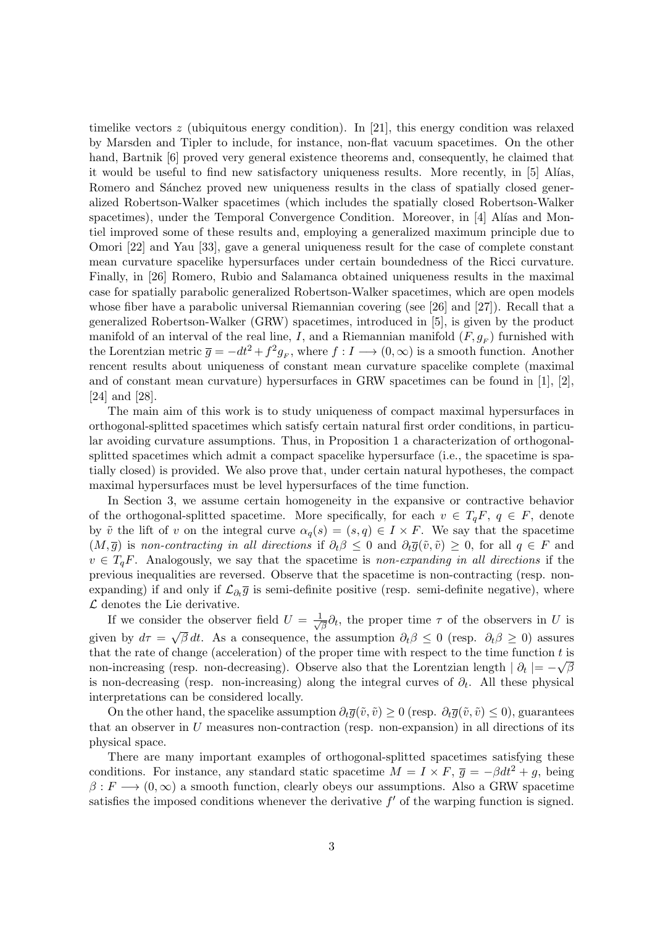timelike vectors  $z$  (ubiquitous energy condition). In [21], this energy condition was relaxed by Marsden and Tipler to include, for instance, non-flat vacuum spacetimes. On the other hand, Bartnik [6] proved very general existence theorems and, consequently, he claimed that it would be useful to find new satisfactory uniqueness results. More recently, in [5] Alías, Romero and Sánchez proved new uniqueness results in the class of spatially closed generalized Robertson-Walker spacetimes (which includes the spatially closed Robertson-Walker spacetimes), under the Temporal Convergence Condition. Moreover, in [4] Alías and Montiel improved some of these results and, employing a generalized maximum principle due to Omori [22] and Yau [33], gave a general uniqueness result for the case of complete constant mean curvature spacelike hypersurfaces under certain boundedness of the Ricci curvature. Finally, in [26] Romero, Rubio and Salamanca obtained uniqueness results in the maximal case for spatially parabolic generalized Robertson-Walker spacetimes, which are open models whose fiber have a parabolic universal Riemannian covering (see [26] and [27]). Recall that a generalized Robertson-Walker (GRW) spacetimes, introduced in [5], is given by the product manifold of an interval of the real line, I, and a Riemannian manifold  $(F, g_F)$  furnished with the Lorentzian metric  $\bar{g} = -dt^2 + f^2 g_F$ , where  $f: I \longrightarrow (0, \infty)$  is a smooth function. Another rencent results about uniqueness of constant mean curvature spacelike complete (maximal and of constant mean curvature) hypersurfaces in GRW spacetimes can be found in  $[1], [2],$ [24] and [28].

The main aim of this work is to study uniqueness of compact maximal hypersurfaces in orthogonal-splitted spacetimes which satisfy certain natural first order conditions, in particular avoiding curvature assumptions. Thus, in Proposition 1 a characterization of orthogonalsplitted spacetimes which admit a compact spacelike hypersurface (i.e., the spacetime is spatially closed) is provided. We also prove that, under certain natural hypotheses, the compact maximal hypersurfaces must be level hypersurfaces of the time function.

In Section 3, we assume certain homogeneity in the expansive or contractive behavior of the orthogonal-splitted spacetime. More specifically, for each  $v \in T_qF$ ,  $q \in F$ , denote by  $\tilde{v}$  the lift of v on the integral curve  $\alpha_q(s) = (s, q) \in I \times F$ . We say that the spacetime  $(M, \overline{g})$  is non-contracting in all directions if  $\partial_t \beta \leq 0$  and  $\partial_t \overline{g}(\tilde{v}, \tilde{v}) \geq 0$ , for all  $q \in F$  and  $v \in T_qF$ . Analogously, we say that the spacetime is non-expanding in all directions if the previous inequalities are reversed. Observe that the spacetime is non-contracting (resp. nonexpanding) if and only if  $\mathcal{L}_{\partial_t \overline{g}}$  is semi-definite positive (resp. semi-definite negative), where  $\mathcal L$  denotes the Lie derivative.

If we consider the observer field  $U = \frac{1}{\sqrt{2}}$ ler the observer field  $U = \frac{1}{\sqrt{\beta}} \partial_t$ , the proper time  $\tau$  of the observers in U is given by  $d\tau = \sqrt{\beta} dt$ . As a consequence, the assumption  $\partial_t \beta \leq 0$  (resp.  $\partial_t \beta \geq 0$ ) assures that the rate of change (acceleration) of the proper time with respect to the time function t is non-increasing (resp. non-decreasing). Observe also that the Lorentzian length  $| \partial_t | = -\sqrt{\beta}$ is non-decreasing (resp. non-increasing) along the integral curves of  $\partial_t$ . All these physical interpretations can be considered locally.

On the other hand, the spacelike assumption  $\partial_t \overline{q}(\tilde{v}, \tilde{v}) > 0$  (resp.  $\partial_t \overline{q}(\tilde{v}, \tilde{v}) < 0$ ), guarantees that an observer in  $U$  measures non-contraction (resp. non-expansion) in all directions of its physical space.

There are many important examples of orthogonal-splitted spacetimes satisfying these conditions. For instance, any standard static spacetime  $M = I \times F$ ,  $\bar{g} = -\beta dt^2 + g$ , being  $\beta: F \longrightarrow (0, \infty)$  a smooth function, clearly obeys our assumptions. Also a GRW spacetime satisfies the imposed conditions whenever the derivative  $f'$  of the warping function is signed.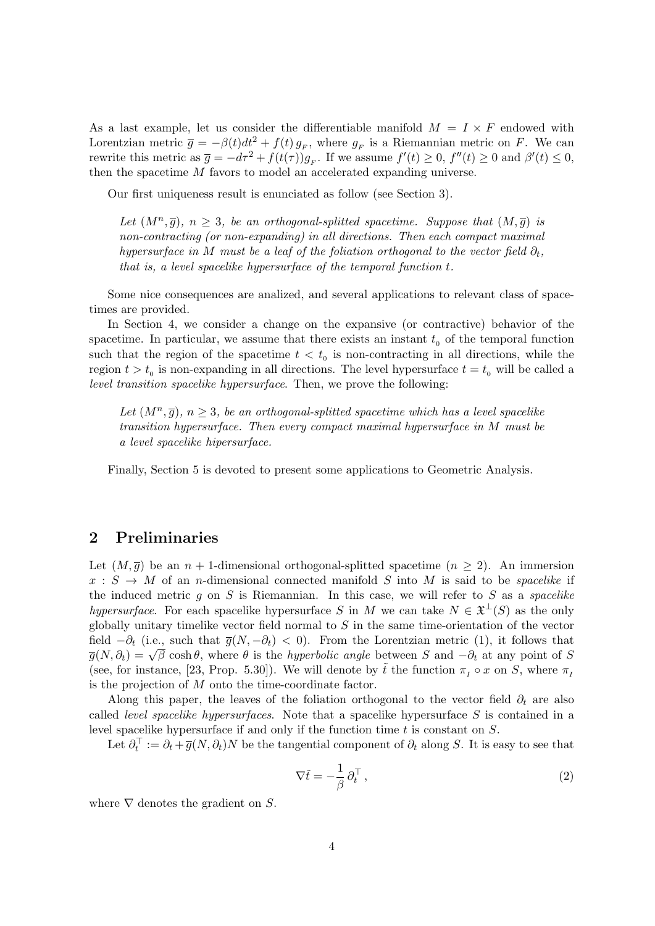As a last example, let us consider the differentiable manifold  $M = I \times F$  endowed with Lorentzian metric  $\bar{g} = -\beta(t)dt^2 + f(t)g_F$ , where  $g_F$  is a Riemannian metric on F. We can rewrite this metric as  $\overline{g} = -d\tau^2 + f(t(\tau))g_F$ . If we assume  $f'(t) \geq 0$ ,  $f''(t) \geq 0$  and  $\beta'(t) \leq 0$ , then the spacetime M favors to model an accelerated expanding universe.

Our first uniqueness result is enunciated as follow (see Section 3).

Let  $(M^n, \overline{g})$ ,  $n \geq 3$ , be an orthogonal-splitted spacetime. Suppose that  $(M, \overline{g})$  is non-contracting (or non-expanding) in all directions. Then each compact maximal hypersurface in M must be a leaf of the foliation orthogonal to the vector field  $\partial_t$ , that is, a level spacelike hypersurface of the temporal function t.

Some nice consequences are analized, and several applications to relevant class of spacetimes are provided.

In Section 4, we consider a change on the expansive (or contractive) behavior of the spacetime. In particular, we assume that there exists an instant  $t_0$  of the temporal function such that the region of the spacetime  $t < t_0$  is non-contracting in all directions, while the region  $t > t_0$  is non-expanding in all directions. The level hypersurface  $t = t_0$  will be called a level transition spacelike hypersurface. Then, we prove the following:

Let  $(M^n, \overline{g})$ ,  $n \geq 3$ , be an orthogonal-splitted spacetime which has a level spacelike transition hypersurface. Then every compact maximal hypersurface in M must be a level spacelike hipersurface.

Finally, Section 5 is devoted to present some applications to Geometric Analysis.

# 2 Preliminaries

Let  $(M, \overline{g})$  be an  $n + 1$ -dimensional orthogonal-splitted spacetime  $(n \geq 2)$ . An immersion  $x : S \to M$  of an *n*-dimensional connected manifold S into M is said to be *spacelike* if the induced metric  $g$  on  $S$  is Riemannian. In this case, we will refer to  $S$  as a spacelike hypersurface. For each spacelike hypersurface S in M we can take  $N \in \mathfrak{X}^{\perp}(S)$  as the only globally unitary timelike vector field normal to  $S$  in the same time-orientation of the vector field  $-\partial_t$  (i.e., such that  $\overline{g}(N, -\partial_t) < 0$ ). From the Lorentzian metric (1), it follows that  $\overline{g}(N, \partial_t) = \sqrt{\beta} \cosh \theta$ , where  $\theta$  is the *hyperbolic angle* between S and  $-\partial_t$  at any point of S (see, for instance, [23, Prop. 5.30]). We will denote by  $\tilde{t}$  the function  $\pi_I \circ x$  on S, where  $\pi_I$ is the projection of M onto the time-coordinate factor.

Along this paper, the leaves of the foliation orthogonal to the vector field  $\partial_t$  are also called *level spacelike hypersurfaces*. Note that a spacelike hypersurface  $S$  is contained in a level spacelike hypersurface if and only if the function time  $t$  is constant on  $S$ .

Let  $\partial_t^{\top} := \partial_t + \overline{g}(N, \partial_t)N$  be the tangential component of  $\partial_t$  along S. It is easy to see that

$$
\nabla \tilde{t} = -\frac{1}{\beta} \partial_t^{\top} , \qquad (2)
$$

where  $\nabla$  denotes the gradient on S.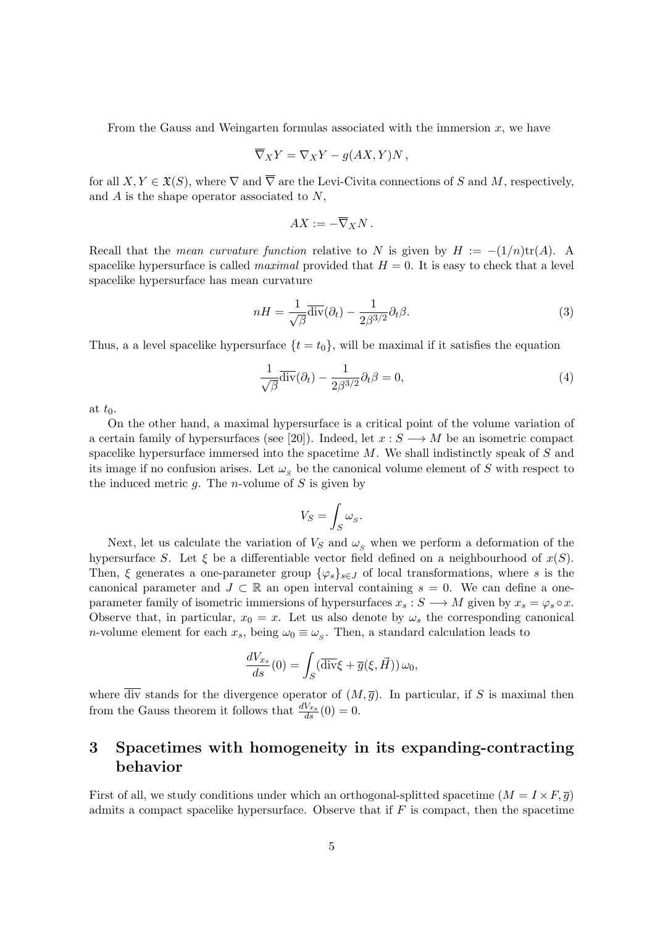From the Gauss and Weingarten formulas associated with the immersion  $x$ , we have

$$
\overline{\nabla}_X Y = \nabla_X Y - g(AX, Y)N,
$$

for all  $X, Y \in \mathfrak{X}(S)$ , where  $\nabla$  and  $\overline{\nabla}$  are the Levi-Civita connections of S and M, respectively, and  $A$  is the shape operator associated to  $N$ ,

$$
AX:=-\overline{\nabla}_XN.
$$

Recall that the *mean curvature function* relative to N is given by  $H := -(1/n)\text{tr}(A)$ . A spacelike hypersurface is called *maximal* provided that  $H = 0$ . It is easy to check that a level spacelike hypersurface has mean curvature

$$
nH = \frac{1}{\sqrt{\beta}} \overline{\text{div}}(\partial_t) - \frac{1}{2\beta^{3/2}} \partial_t \beta.
$$
 (3)

Thus, a a level spacelike hypersurface  $\{t = t_0\}$ , will be maximal if it satisfies the equation

$$
\frac{1}{\sqrt{\beta}}\overline{\text{div}}(\partial_t) - \frac{1}{2\beta^{3/2}}\partial_t\beta = 0,
$$
\n(4)

at  $t_0$ .

On the other hand, a maximal hypersurface is a critical point of the volume variation of a certain family of hypersurfaces (see [20]). Indeed, let  $x : S \longrightarrow M$  be an isometric compact spacelike hypersurface immersed into the spacetime  $M$ . We shall indistinctly speak of  $S$  and its image if no confusion arises. Let  $\omega_s$  be the canonical volume element of S with respect to the induced metric  $g$ . The *n*-volume of  $S$  is given by

$$
V_S = \int_S \omega_S.
$$

Next, let us calculate the variation of  $V_S$  and  $\omega_s$  when we perform a deformation of the hypersurface S. Let  $\xi$  be a differentiable vector field defined on a neighbourhood of  $x(S)$ . Then,  $\xi$  generates a one-parameter group  $\{\varphi_s\}_{s\in J}$  of local transformations, where s is the canonical parameter and  $J \subset \mathbb{R}$  an open interval containing  $s = 0$ . We can define a oneparameter family of isometric immersions of hypersurfaces  $x_s : S \longrightarrow M$  given by  $x_s = \varphi_s \circ x$ . Observe that, in particular,  $x_0 = x$ . Let us also denote by  $\omega_s$  the corresponding canonical *n*-volume element for each  $x_s$ , being  $\omega_0 \equiv \omega_s$ . Then, a standard calculation leads to

$$
\frac{dV_{x_s}}{ds}(0) = \int_S (\overline{\text{div}}\xi + \overline{g}(\xi, \vec{H})) \,\omega_0,
$$

where  $\overline{\text{div}}$  stands for the divergence operator of  $(M, \overline{q})$ . In particular, if S is maximal then from the Gauss theorem it follows that  $\frac{dV_{x_s}}{ds}(0) = 0$ .

# 3 Spacetimes with homogeneity in its expanding-contracting behavior

First of all, we study conditions under which an orthogonal-splitted spacetime  $(M = I \times F, \overline{q})$ admits a compact spacelike hypersurface. Observe that if  $F$  is compact, then the spacetime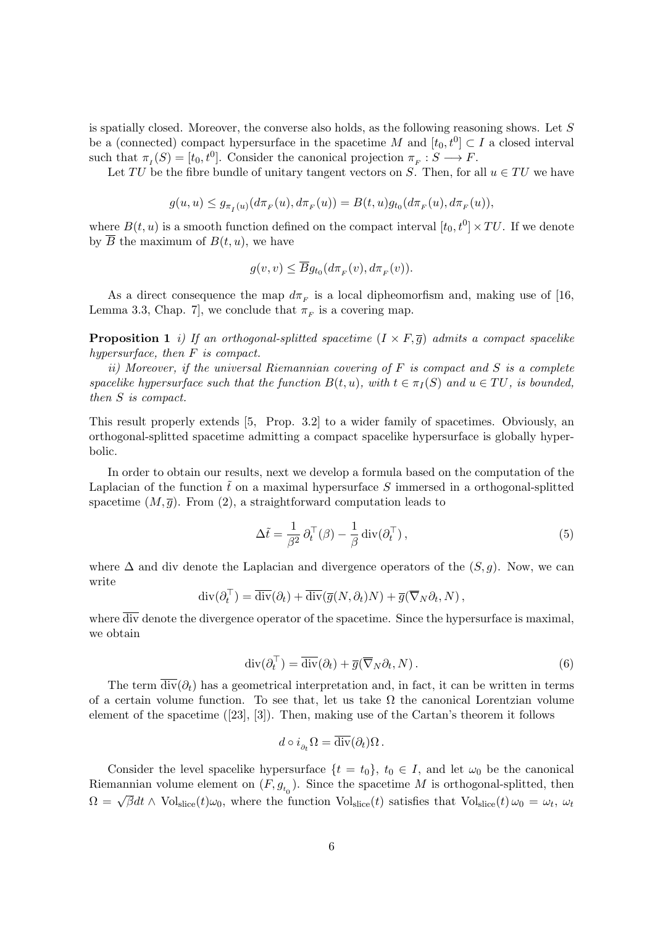is spatially closed. Moreover, the converse also holds, as the following reasoning shows. Let  $S$ be a (connected) compact hypersurface in the spacetime M and  $[t_0, t^0] \subset I$  a closed interval such that  $\pi_I(S) = [t_0, t^0]$ . Consider the canonical projection  $\pi_F : S \longrightarrow F$ .

Let TU be the fibre bundle of unitary tangent vectors on S. Then, for all  $u \in TU$  we have

$$
g(u, u) \le g_{\pi_I(u)}(d\pi_F(u), d\pi_F(u)) = B(t, u)g_{t_0}(d\pi_F(u), d\pi_F(u)),
$$

where  $B(t, u)$  is a smooth function defined on the compact interval  $[t_0, t^0] \times TU$ . If we denote by  $\overline{B}$  the maximum of  $B(t, u)$ , we have

$$
g(v, v) \le \overline{B}g_{t_0}(d\pi_F(v), d\pi_F(v)).
$$

As a direct consequence the map  $d\pi_F$  is a local dipheomorfism and, making use of [16, Lemma 3.3, Chap. 7, we conclude that  $\pi_F$  is a covering map.

**Proposition 1** i) If an orthogonal-splitted spacetime  $(I \times F, \overline{g})$  admits a compact spacelike hypersurface, then F is compact.

ii) Moreover, if the universal Riemannian covering of  $F$  is compact and  $S$  is a complete spacelike hypersurface such that the function  $B(t, u)$ , with  $t \in \pi_I(S)$  and  $u \in TU$ , is bounded, then S is compact.

This result properly extends [5, Prop. 3.2] to a wider family of spacetimes. Obviously, an orthogonal-splitted spacetime admitting a compact spacelike hypersurface is globally hyperbolic.

In order to obtain our results, next we develop a formula based on the computation of the Laplacian of the function  $\tilde{t}$  on a maximal hypersurface S immersed in a orthogonal-splitted spacetime  $(M, \overline{g})$ . From (2), a straightforward computation leads to

$$
\Delta \tilde{t} = \frac{1}{\beta^2} \partial_t^{\top} (\beta) - \frac{1}{\beta} \operatorname{div} (\partial_t^{\top}), \qquad (5)
$$

where  $\Delta$  and div denote the Laplacian and divergence operators of the  $(S, q)$ . Now, we can write

$$
\operatorname{div}(\partial_t^\top) = \overline{\operatorname{div}}(\partial_t) + \overline{\operatorname{div}}(\overline{g}(N, \partial_t)N) + \overline{g}(\overline{\nabla}_N \partial_t, N),
$$

where  $\overline{\text{div}}$  denote the divergence operator of the spacetime. Since the hypersurface is maximal, we obtain

$$
\operatorname{div}(\partial_t^\top) = \overline{\operatorname{div}}(\partial_t) + \overline{g}(\overline{\nabla}_N \partial_t, N). \tag{6}
$$

The term  $\overline{\text{div}}(\partial_t)$  has a geometrical interpretation and, in fact, it can be written in terms of a certain volume function. To see that, let us take  $\Omega$  the canonical Lorentzian volume element of the spacetime ([23], [3]). Then, making use of the Cartan's theorem it follows

$$
d \circ i_{\partial_t} \Omega = \overline{\text{div}}(\partial_t) \Omega \, .
$$

Consider the level spacelike hypersurface  $\{t = t_0\}$ ,  $t_0 \in I$ , and let  $\omega_0$  be the canonical Riemannian volume element on  $(F, g_{t_0})$ . Since the spacetime M is orthogonal-splitted, then  $\Omega = \sqrt{\beta}dt \wedge \text{Vol}_{\text{slice}}(t)\omega_0$ , where the function  $\text{Vol}_{\text{slice}}(t)$  satisfies that  $\text{Vol}_{\text{slice}}(t)\omega_0 = \omega_t$ ,  $\omega_t$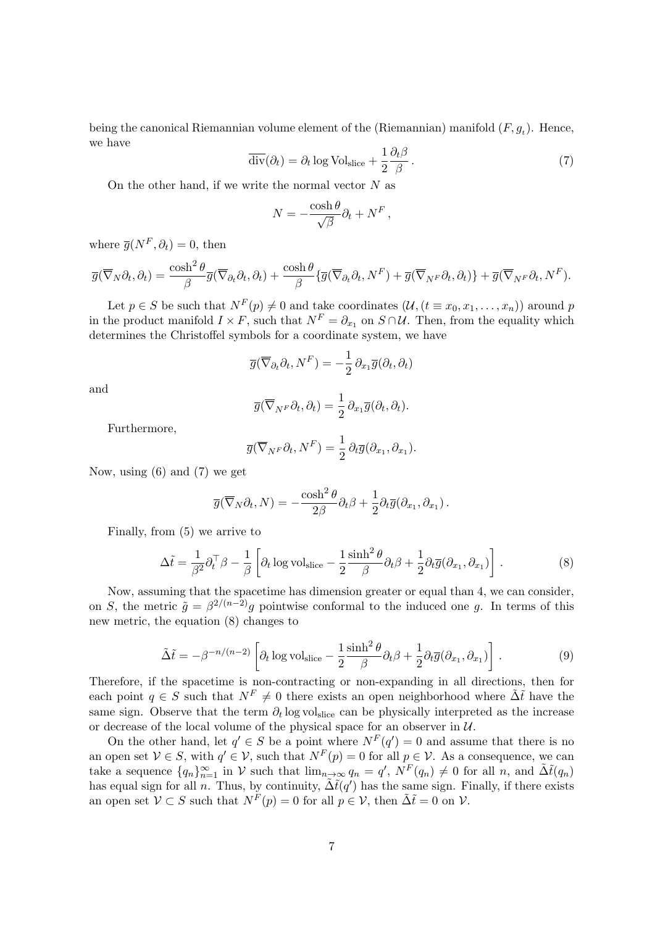being the canonical Riemannian volume element of the (Riemannian) manifold  $(F, g_t)$ . Hence, we have

$$
\overline{\text{div}}(\partial_t) = \partial_t \log \text{Vol}_{\text{slice}} + \frac{1}{2} \frac{\partial_t \beta}{\beta} \,. \tag{7}
$$

On the other hand, if we write the normal vector  $N$  as

$$
N = -\frac{\cosh \theta}{\sqrt{\beta}} \partial_t + N^F,
$$

where  $\overline{g}(N^F, \partial_t) = 0$ , then

$$
\overline{g}(\overline{\nabla}_N \partial_t, \partial_t) = \frac{\cosh^2 \theta}{\beta} \overline{g}(\overline{\nabla}_{\partial_t} \partial_t, \partial_t) + \frac{\cosh \theta}{\beta} \{ \overline{g}(\overline{\nabla}_{\partial_t} \partial_t, N^F) + \overline{g}(\overline{\nabla}_{N^F} \partial_t, \partial_t) \} + \overline{g}(\overline{\nabla}_{N^F} \partial_t, N^F).
$$

Let  $p \in S$  be such that  $N^F(p) \neq 0$  and take coordinates  $(\mathcal{U}, (t \equiv x_0, x_1, \ldots, x_n))$  around p in the product manifold  $I \times F$ , such that  $N^F = \partial_{x_1}$  on  $S \cap U$ . Then, from the equality which determines the Christoffel symbols for a coordinate system, we have

$$
\overline{g}(\overline{\nabla}_{\partial_t}\partial_t, N^F) = -\frac{1}{2} \partial_{x_1} \overline{g}(\partial_t, \partial_t)
$$

and

$$
\overline{g}(\overline{\nabla}_{N^F} \partial_t, \partial_t) = \frac{1}{2} \partial_{x_1} \overline{g}(\partial_t, \partial_t).
$$

Furthermore,

$$
\overline{g}(\overline{\nabla}_{N^F} \partial_t, N^F) = \frac{1}{2} \partial_t \overline{g}(\partial_{x_1}, \partial_{x_1}).
$$

Now, using (6) and (7) we get

$$
\overline{g}(\overline{\nabla}_N \partial_t, N) = -\frac{\cosh^2 \theta}{2\beta} \partial_t \beta + \frac{1}{2} \partial_t \overline{g}(\partial_{x_1}, \partial_{x_1}).
$$

Finally, from (5) we arrive to

$$
\Delta \tilde{t} = \frac{1}{\beta^2} \partial_t^{\top} \beta - \frac{1}{\beta} \left[ \partial_t \log \mathrm{vol}_{\mathrm{slice}} - \frac{1}{2} \frac{\sinh^2 \theta}{\beta} \partial_t \beta + \frac{1}{2} \partial_t \overline{g} (\partial_{x_1}, \partial_{x_1}) \right]. \tag{8}
$$

Now, assuming that the spacetime has dimension greater or equal than 4, we can consider, on S, the metric  $\tilde{g} = \beta^{2/(n-2)}g$  pointwise conformal to the induced one g. In terms of this new metric, the equation (8) changes to

$$
\tilde{\Delta}\tilde{t} = -\beta^{-n/(n-2)} \left[ \partial_t \log \mathrm{vol}_{\mathrm{slice}} - \frac{1}{2} \frac{\sinh^2 \theta}{\beta} \partial_t \beta + \frac{1}{2} \partial_t \overline{g} (\partial_{x_1}, \partial_{x_1}) \right]. \tag{9}
$$

Therefore, if the spacetime is non-contracting or non-expanding in all directions, then for each point  $q \in S$  such that  $N^F \neq 0$  there exists an open neighborhood where  $\tilde{\Delta} \tilde{t}$  have the same sign. Observe that the term  $\partial_t \log \text{vol}_{\text{slice}}$  can be physically interpreted as the increase or decrease of the local volume of the physical space for an observer in  $U$ .

On the other hand, let  $q' \in S$  be a point where  $N^F(q') = 0$  and assume that there is no an open set  $V \in S$ , with  $q' \in V$ , such that  $N^F(p) = 0$  for all  $p \in V$ . As a consequence, we can take a sequence  $\{q_n\}_{n=1}^{\infty}$  in V such that  $\lim_{n\to\infty} q_n = q'$ ,  $N^F(q_n) \neq 0$  for all n, and  $\tilde{\Delta} \tilde{t}(q_n)$ has equal sign for all n. Thus, by continuity,  $\tilde{\Delta} \tilde{t}(q')$  has the same sign. Finally, if there exists an open set  $V \subset S$  such that  $N^F(p) = 0$  for all  $p \in V$ , then  $\tilde{\Delta} \tilde{t} = 0$  on  $V$ .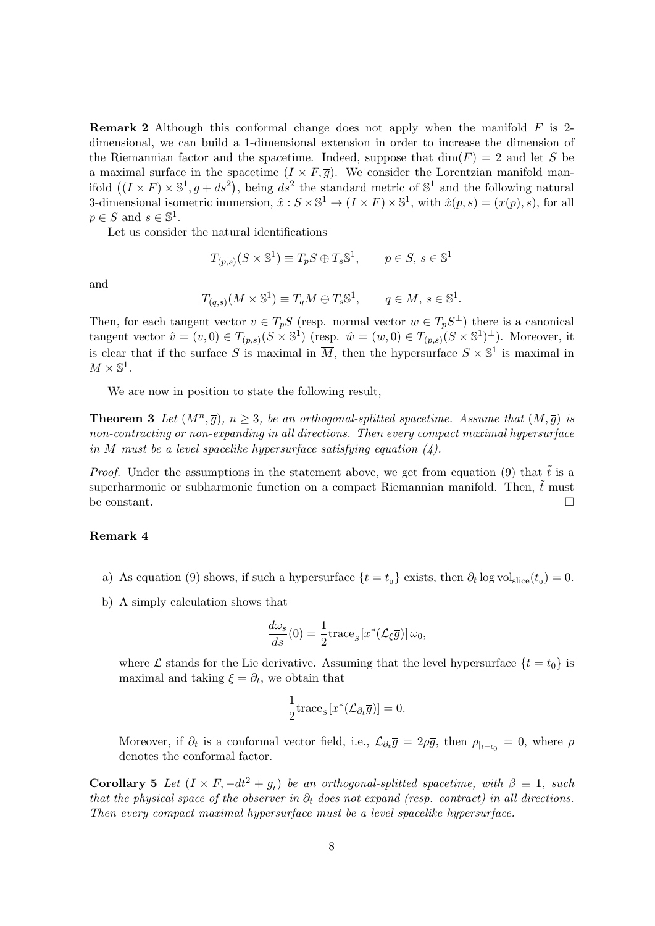**Remark 2** Although this conformal change does not apply when the manifold  $F$  is 2dimensional, we can build a 1-dimensional extension in order to increase the dimension of the Riemannian factor and the spacetime. Indeed, suppose that  $\dim(F) = 2$  and let S be a maximal surface in the spacetime  $(I \times F, \overline{g})$ . We consider the Lorentzian manifold manifold  $((I \times F) \times \mathbb{S}^1, \overline{g} + ds^2)$ , being  $ds^2$  the standard metric of  $\mathbb{S}^1$  and the following natural 3-dimensional isometric immersion,  $\hat{x}: S \times \mathbb{S}^1 \to (I \times F) \times \mathbb{S}^1$ , with  $\hat{x}(p, s) = (x(p), s)$ , for all  $p \in S$  and  $s \in \mathbb{S}^1$ .

Let us consider the natural identifications

$$
T_{(p,s)}(S \times \mathbb{S}^1) \equiv T_p S \oplus T_s \mathbb{S}^1, \qquad p \in S, \, s \in \mathbb{S}^1
$$

and

$$
T_{(q,s)}(\overline{M}\times\mathbb{S}^1)\equiv T_q\overline{M}\oplus T_s\mathbb{S}^1,\qquad q\in\overline{M},\,s\in\mathbb{S}^1.
$$

Then, for each tangent vector  $v \in T_pS$  (resp. normal vector  $w \in T_pS^{\perp}$ ) there is a canonical tangent vector  $\hat{v} = (v,0) \in T_{(p,s)}(S \times \mathbb{S}^1)$  (resp.  $\hat{w} = (w,0) \in T_{(p,s)}(S \times \mathbb{S}^1)^\perp$ ). Moreover, it is clear that if the surface S is maximal in  $\overline{M}$ , then the hypersurface  $S \times \mathbb{S}^1$  is maximal in  $\overline{M} \times \mathbb{S}^1$ .

We are now in position to state the following result,

**Theorem 3** Let  $(M^n, \overline{g})$ ,  $n \geq 3$ , be an orthogonal-splitted spacetime. Assume that  $(M, \overline{g})$  is non-contracting or non-expanding in all directions. Then every compact maximal hypersurface in M must be a level spacelike hypersurface satisfying equation  $(4)$ .

*Proof.* Under the assumptions in the statement above, we get from equation (9) that  $\tilde{t}$  is a superharmonic or subharmonic function on a compact Riemannian manifold. Then,  $\tilde{t}$  must be constant.  $\Box$ 

#### Remark 4

- a) As equation (9) shows, if such a hypersurface  $\{t = t_0\}$  exists, then  $\partial_t \log \text{vol}_{\text{slice}}(t_0) = 0$ .
- b) A simply calculation shows that

$$
\frac{d\omega_s}{ds}(0) = \frac{1}{2} \operatorname{trace}_S[x^*(\mathcal{L}_\xi \overline{g})] \omega_0,
$$

where  $\mathcal L$  stands for the Lie derivative. Assuming that the level hypersurface  $\{t = t_0\}$  is maximal and taking  $\xi = \partial_t$ , we obtain that

$$
\frac{1}{2}\mathrm{trace}_{S}[x^*(\mathcal{L}_{\partial_t}\overline{g})]=0.
$$

Moreover, if  $\partial_t$  is a conformal vector field, i.e.,  $\mathcal{L}_{\partial_t \overline{g}} = 2\rho \overline{g}$ , then  $\rho_{|_{t=t_0}} = 0$ , where  $\rho$ denotes the conformal factor.

Corollary 5 Let  $(I \times F, -dt^2 + g_t)$  be an orthogonal-splitted spacetime, with  $\beta \equiv 1$ , such that the physical space of the observer in  $\partial_t$  does not expand (resp. contract) in all directions. Then every compact maximal hypersurface must be a level spacelike hypersurface.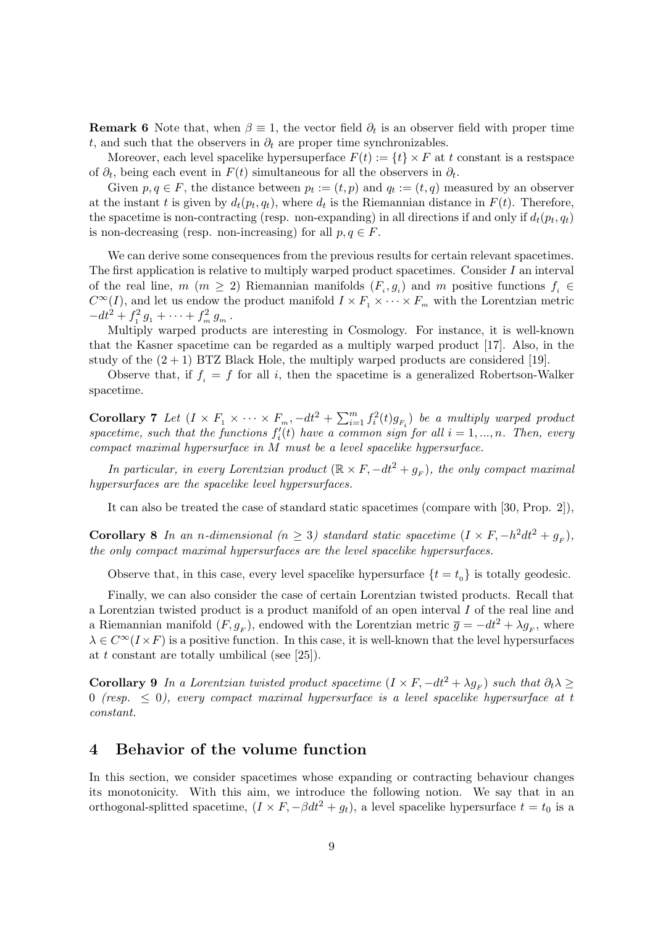**Remark 6** Note that, when  $\beta \equiv 1$ , the vector field  $\partial_t$  is an observer field with proper time t, and such that the observers in  $\partial_t$  are proper time synchronizables.

Moreover, each level spacelike hypersuperface  $F(t) := \{t\} \times F$  at t constant is a restspace of  $\partial_t$ , being each event in  $F(t)$  simultaneous for all the observers in  $\partial_t$ .

Given  $p, q \in F$ , the distance between  $p_t := (t, p)$  and  $q_t := (t, q)$  measured by an observer at the instant t is given by  $d_t(p_t, q_t)$ , where  $d_t$  is the Riemannian distance in  $F(t)$ . Therefore, the spacetime is non-contracting (resp. non-expanding) in all directions if and only if  $d_t(p_t, q_t)$ is non-decreasing (resp. non-increasing) for all  $p, q \in F$ .

We can derive some consequences from the previous results for certain relevant spacetimes. The first application is relative to multiply warped product spacetimes. Consider I an interval of the real line,  $m (m \geq 2)$  Riemannian manifolds  $(F_i, g_i)$  and m positive functions  $f_i \in$  $C^{\infty}(I)$ , and let us endow the product manifold  $I \times F_1 \times \cdots \times F_m$  with the Lorentzian metric  $-dt^2 + f_1^2 g_1 + \cdots + f_m^2 g_m$ .

Multiply warped products are interesting in Cosmology. For instance, it is well-known that the Kasner spacetime can be regarded as a multiply warped product [17]. Also, in the study of the  $(2 + 1)$  BTZ Black Hole, the multiply warped products are considered [19].

Observe that, if  $f_i = f$  for all i, then the spacetime is a generalized Robertson-Walker spacetime.

Corollary 7 Let  $(I \times F_1 \times \cdots \times F_m, -dt^2 + \sum_{i=1}^m f_i^2(t)g_{F_i})$  be a multiply warped product spacetime, such that the functions  $f_i'(t)$  have a common sign for all  $i = 1, ..., n$ . Then, every compact maximal hypersurface in M must be a level spacelike hypersurface.

In particular, in every Lorentzian product  $(\mathbb{R} \times F, -dt^2 + g_F)$ , the only compact maximal hypersurfaces are the spacelike level hypersurfaces.

It can also be treated the case of standard static spacetimes (compare with [30, Prop. 2]),

Corollary 8 In an n-dimensional  $(n \geq 3)$  standard static spacetime  $(I \times F, -h^2 dt^2 + g_F)$ , the only compact maximal hypersurfaces are the level spacelike hypersurfaces.

Observe that, in this case, every level spacelike hypersurface  $\{t = t_0\}$  is totally geodesic.

Finally, we can also consider the case of certain Lorentzian twisted products. Recall that a Lorentzian twisted product is a product manifold of an open interval I of the real line and a Riemannian manifold  $(F, g_F)$ , endowed with the Lorentzian metric  $\bar{g} = -dt^2 + \lambda g_F$ , where  $\lambda \in C^{\infty}(I \times F)$  is a positive function. In this case, it is well-known that the level hypersurfaces at t constant are totally umbilical (see  $[25]$ ).

**Corollary 9** In a Lorentzian twisted product spacetime  $(I \times F, -dt^2 + \lambda g_F)$  such that  $\partial_t \lambda \geq$ 0 (resp.  $\leq$  0), every compact maximal hypersurface is a level spacelike hypersurface at t constant.

# 4 Behavior of the volume function

In this section, we consider spacetimes whose expanding or contracting behaviour changes its monotonicity. With this aim, we introduce the following notion. We say that in an orthogonal-splitted spacetime,  $(I \times F, -\beta dt^2 + g_t)$ , a level spacelike hypersurface  $t = t_0$  is a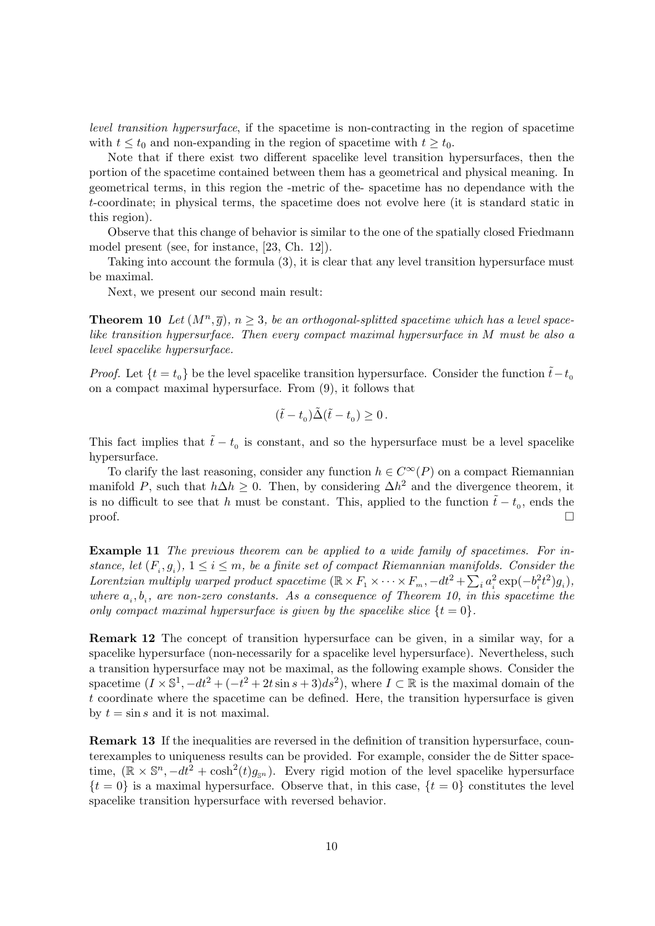level transition hypersurface, if the spacetime is non-contracting in the region of spacetime with  $t \leq t_0$  and non-expanding in the region of spacetime with  $t \geq t_0$ .

Note that if there exist two different spacelike level transition hypersurfaces, then the portion of the spacetime contained between them has a geometrical and physical meaning. In geometrical terms, in this region the -metric of the- spacetime has no dependance with the t-coordinate; in physical terms, the spacetime does not evolve here (it is standard static in this region).

Observe that this change of behavior is similar to the one of the spatially closed Friedmann model present (see, for instance, [23, Ch. 12]).

Taking into account the formula (3), it is clear that any level transition hypersurface must be maximal.

Next, we present our second main result:

**Theorem 10** Let  $(M^n, \overline{g})$ ,  $n \geq 3$ , be an orthogonal-splitted spacetime which has a level spacelike transition hypersurface. Then every compact maximal hypersurface in M must be also a level spacelike hypersurface.

*Proof.* Let  $\{t = t_0\}$  be the level spacelike transition hypersurface. Consider the function  $\tilde{t} - t_0$ on a compact maximal hypersurface. From (9), it follows that

$$
(\tilde t-t_0)\tilde \Delta (\tilde t-t_0)\geq 0\,.
$$

This fact implies that  $\tilde{t} - t_0$  is constant, and so the hypersurface must be a level spacelike hypersurface.

To clarify the last reasoning, consider any function  $h \in C^{\infty}(P)$  on a compact Riemannian manifold P, such that  $h\Delta h \geq 0$ . Then, by considering  $\Delta h^2$  and the divergence theorem, it is no difficult to see that h must be constant. This, applied to the function  $\tilde{t} - t_0$ , ends the  $\Box$ 

Example 11 The previous theorem can be applied to a wide family of spacetimes. For instance, let  $(F_i, g_i)$ ,  $1 \leq i \leq m$ , be a finite set of compact Riemannian manifolds. Consider the Lorentzian multiply warped product spacetime  $(\mathbb{R} \times F_1 \times \cdots \times F_m, -dt^2 + \sum_i a_i^2 \exp(-b_i^2 t^2)g_i$ , where  $a_i, b_i$ , are non-zero constants. As a consequence of Theorem 10, in this spacetime the only compact maximal hypersurface is given by the spacelike slice  $\{t = 0\}$ .

Remark 12 The concept of transition hypersurface can be given, in a similar way, for a spacelike hypersurface (non-necessarily for a spacelike level hypersurface). Nevertheless, such a transition hypersurface may not be maximal, as the following example shows. Consider the spacetime  $(I \times \mathbb{S}^1, -dt^2 + (-t^2 + 2t\sin s + 3)ds^2)$ , where  $I \subset \mathbb{R}$  is the maximal domain of the t coordinate where the spacetime can be defined. Here, the transition hypersurface is given by  $t = \sin s$  and it is not maximal.

Remark 13 If the inequalities are reversed in the definition of transition hypersurface, counterexamples to uniqueness results can be provided. For example, consider the de Sitter spacetime,  $(\mathbb{R} \times \mathbb{S}^n, -dt^2 + \cosh^2(t)g_{\mathbb{S}^n})$ . Every rigid motion of the level spacelike hypersurface  ${t = 0}$  is a maximal hypersurface. Observe that, in this case,  ${t = 0}$  constitutes the level spacelike transition hypersurface with reversed behavior.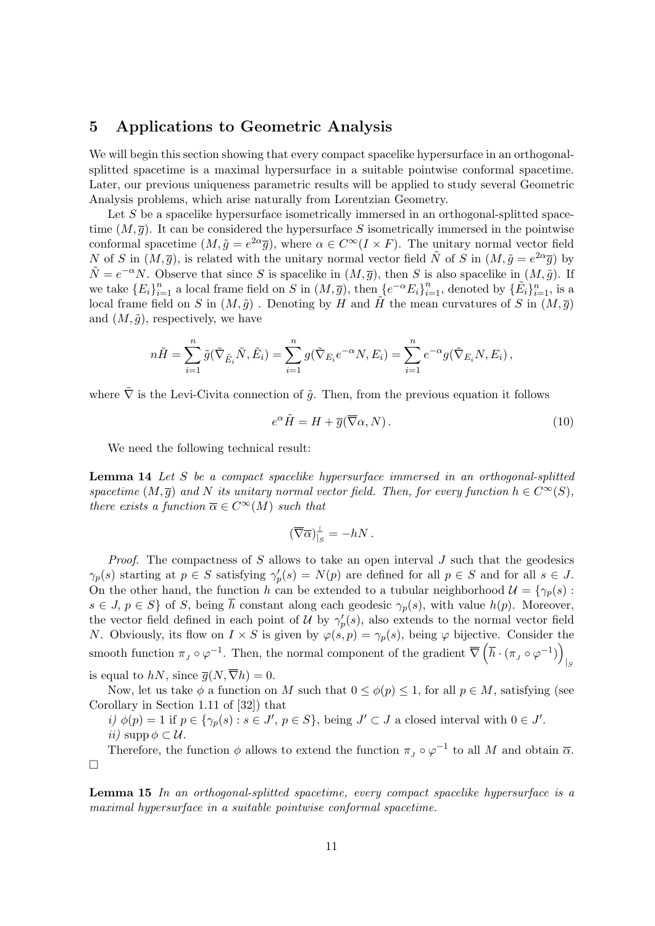# 5 Applications to Geometric Analysis

We will begin this section showing that every compact spacelike hypersurface in an orthogonalsplitted spacetime is a maximal hypersurface in a suitable pointwise conformal spacetime. Later, our previous uniqueness parametric results will be applied to study several Geometric Analysis problems, which arise naturally from Lorentzian Geometry.

Let S be a spacelike hypersurface isometrically immersed in an orthogonal-splitted spacetime  $(M, \overline{g})$ . It can be considered the hypersurface S isometrically immersed in the pointwise conformal spacetime  $(M, \tilde{g} = e^{2\alpha} \overline{g})$ , where  $\alpha \in C^{\infty}(I \times F)$ . The unitary normal vector field N of S in  $(M, \bar{g})$ , is related with the unitary normal vector field  $\tilde{N}$  of S in  $(M, \tilde{g} = e^{2\alpha} \bar{g})$  by  $\tilde{N} = e^{-\alpha} N$ . Observe that since S is spacelike in  $(M, \bar{g})$ , then S is also spacelike in  $(M, \tilde{g})$ . If we take  ${E_i}_{i=1}^n$  a local frame field on S in  $(M,\overline{g})$ , then  ${e^{-\alpha}E_i}_{i=1}^n$ , denoted by  ${\{\tilde{E_i}\}}_{i=1}^n$ , is a local frame field on S in  $(M, \tilde{g})$ . Denoting by H and H the mean curvatures of S in  $(M, \bar{g})$ and  $(M, \tilde{q})$ , respectively, we have

$$
n\tilde{H} = \sum_{i=1}^n \tilde{g}(\tilde{\nabla}_{\tilde{E}_i} \tilde{N}, \tilde{E}_i) = \sum_{i=1}^n g(\tilde{\nabla}_{E_i} e^{-\alpha} N, E_i) = \sum_{i=1}^n e^{-\alpha} g(\tilde{\nabla}_{E_i} N, E_i),
$$

where  $\tilde{\nabla}$  is the Levi-Civita connection of  $\tilde{q}$ . Then, from the previous equation it follows

$$
e^{\alpha} \tilde{H} = H + \overline{g}(\overline{\nabla}\alpha, N). \tag{10}
$$

We need the following technical result:

Lemma 14 Let S be a compact spacelike hypersurface immersed in an orthogonal-splitted spacetime  $(M, \overline{g})$  and N its unitary normal vector field. Then, for every function  $h \in C^{\infty}(S)$ , there exists a function  $\overline{\alpha} \in C^{\infty}(M)$  such that

$$
(\overline{\nabla}\overline{\alpha})^{\perp}_{|_{S}}=-hN\,.
$$

*Proof.* The compactness of S allows to take an open interval J such that the geodesics  $\gamma_p(s)$  starting at  $p \in S$  satisfying  $\gamma'_p(s) = N(p)$  are defined for all  $p \in S$  and for all  $s \in J$ . On the other hand, the function h can be extended to a tubular neighborhood  $\mathcal{U} = \{\gamma_p(s):$  $s \in J$ ,  $p \in S$  of S, being  $\overline{h}$  constant along each geodesic  $\gamma_p(s)$ , with value  $h(p)$ . Moreover, the vector field defined in each point of U by  $\gamma_p'(s)$ , also extends to the normal vector field N. Obviously, its flow on  $I \times S$  is given by  $\varphi(s, p) = \gamma_p(s)$ , being  $\varphi$  bijective. Consider the smooth function  $\pi_J \circ \varphi^{-1}$ . Then, the normal component of the gradient  $\overline{\nabla} \left( \overline{h} \cdot (\pi_J \circ \varphi^{-1}) \right)$  $|s|$ is equal to hN, since  $\overline{g}(N, \overline{\nabla}h) = 0$ .

Now, let us take  $\phi$  a function on M such that  $0 \leq \phi(p) \leq 1$ , for all  $p \in M$ , satisfying (see Corollary in Section 1.11 of [32]) that

i)  $\phi(p) = 1$  if  $p \in \{\gamma_p(s) : s \in J', p \in S\}$ , being  $J' \subset J$  a closed interval with  $0 \in J'$ . *ii*) supp  $\phi \subset \mathcal{U}$ .

Therefore, the function  $\phi$  allows to extend the function  $\pi_J \circ \varphi^{-1}$  to all M and obtain  $\overline{\alpha}$ .  $\Box$ 

Lemma 15 In an orthogonal-splitted spacetime, every compact spacelike hypersurface is a maximal hypersurface in a suitable pointwise conformal spacetime.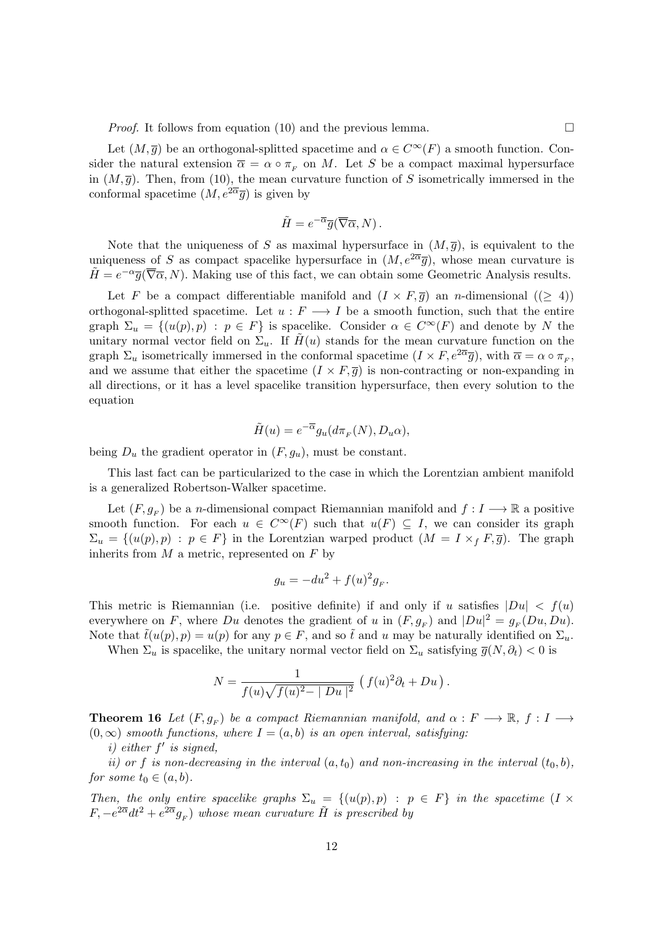*Proof.* It follows from equation (10) and the previous lemma.

Let  $(M, \overline{g})$  be an orthogonal-splitted spacetime and  $\alpha \in C^{\infty}(F)$  a smooth function. Consider the natural extension  $\overline{\alpha} = \alpha \circ \pi_F$  on M. Let S be a compact maximal hypersurface in  $(M, \bar{g})$ . Then, from (10), the mean curvature function of S isometrically immersed in the conformal spacetime  $(M, e^{2\overline{\alpha}}\overline{g})$  is given by

$$
\tilde{H} = e^{-\overline{\alpha}} \overline{g}(\overline{\nabla}\overline{\alpha}, N) .
$$

Note that the uniqueness of S as maximal hypersurface in  $(M, \overline{g})$ , is equivalent to the uniqueness of S as compact spacelike hypersurface in  $(M, e^{2\overline{\alpha}}\overline{q})$ , whose mean curvature is  $\tilde{H} = e^{-\alpha} \overline{g}(\overline{\nabla}\overline{\alpha}, N)$ . Making use of this fact, we can obtain some Geometric Analysis results.

Let F be a compact differentiable manifold and  $(I \times F, \overline{q})$  an *n*-dimensional  $(\geq 4)$ ) orthogonal-splitted spacetime. Let  $u : F \longrightarrow I$  be a smooth function, such that the entire graph  $\Sigma_u = \{(u(p), p) : p \in F\}$  is spacelike. Consider  $\alpha \in C^{\infty}(F)$  and denote by N the unitary normal vector field on  $\Sigma_u$ . If  $H(u)$  stands for the mean curvature function on the graph  $\Sigma_u$  isometrically immersed in the conformal spacetime  $(I \times F, e^{2\overline{\alpha}}\overline{g})$ , with  $\overline{\alpha} = \alpha \circ \pi_F$ , and we assume that either the spacetime  $(I \times F, \overline{g})$  is non-contracting or non-expanding in all directions, or it has a level spacelike transition hypersurface, then every solution to the equation

$$
\tilde{H}(u) = e^{-\overline{\alpha}} g_u(d\pi_F(N), D_u\alpha),
$$

being  $D_u$  the gradient operator in  $(F, g_u)$ , must be constant.

This last fact can be particularized to the case in which the Lorentzian ambient manifold is a generalized Robertson-Walker spacetime.

Let  $(F, g_F)$  be a *n*-dimensional compact Riemannian manifold and  $f: I \longrightarrow \mathbb{R}$  a positive smooth function. For each  $u \in C^{\infty}(F)$  such that  $u(F) \subseteq I$ , we can consider its graph  $\Sigma_u = \{(u(p), p) : p \in F\}$  in the Lorentzian warped product  $(M = I \times_f F, \overline{g})$ . The graph inherits from  $M$  a metric, represented on  $F$  by

$$
g_u = -du^2 + f(u)^2 g_F.
$$

This metric is Riemannian (i.e. positive definite) if and only if u satisfies  $|Du| < f(u)$ everywhere on F, where Du denotes the gradient of u in  $(F, g_F)$  and  $|Du|^2 = g_F(Du, Du)$ . Note that  $\tilde{t}(u(p), p) = u(p)$  for any  $p \in F$ , and so  $\tilde{t}$  and u may be naturally identified on  $\Sigma_u$ .

When  $\Sigma_u$  is spacelike, the unitary normal vector field on  $\Sigma_u$  satisfying  $\overline{g}(N, \partial_t) < 0$  is

$$
N = \frac{1}{f(u)\sqrt{f(u)^2 - |Du|^2}} (f(u)^2 \partial_t + Du).
$$

**Theorem 16** Let  $(F, g_F)$  be a compact Riemannian manifold, and  $\alpha : F \longrightarrow \mathbb{R}$ ,  $f : I \longrightarrow$  $(0, \infty)$  smooth functions, where  $I = (a, b)$  is an open interval, satisfying:

 $i)$  either  $f'$  is signed,

ii) or f is non-decreasing in the interval  $(a, t_0)$  and non-increasing in the interval  $(t_0, b)$ , for some  $t_0 \in (a, b)$ .

Then, the only entire spacelike graphs  $\Sigma_u = \{(u(p), p) : p \in F\}$  in the spacetime  $(I \times$  $F, -e^{2\overline{\alpha}}dt^2 + e^{2\overline{\alpha}}g_F)$  whose mean curvature  $\tilde{H}$  is prescribed by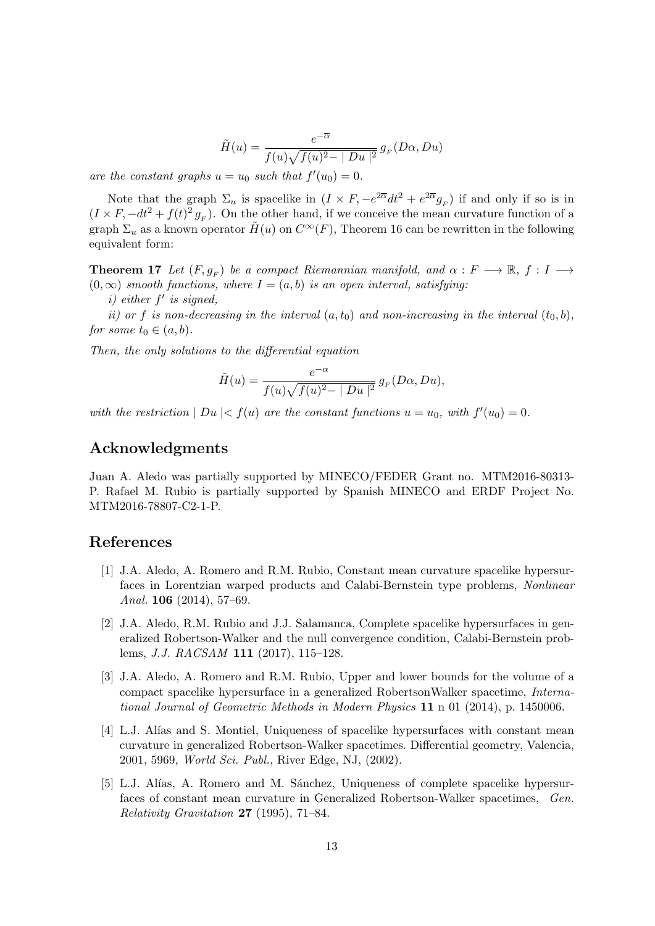$$
\tilde{H}(u) = \frac{e^{-\overline{\alpha}}}{f(u)\sqrt{f(u)^2 - |Du|^2}} g_F(D\alpha, Du)
$$

are the constant graphs  $u = u_0$  such that  $f'(u_0) = 0$ .

Note that the graph  $\Sigma_u$  is spacelike in  $(I \times F, -e^{2\overline{\alpha}} dt^2 + e^{2\overline{\alpha}} g_F)$  if and only if so is in  $(I \times F, -dt^2 + f(t)^2 g_F)$ . On the other hand, if we conceive the mean curvature function of a graph  $\Sigma_u$  as a known operator  $H(u)$  on  $C^{\infty}(F)$ , Theorem 16 can be rewritten in the following equivalent form:

**Theorem 17** Let  $(F, g_F)$  be a compact Riemannian manifold, and  $\alpha : F \longrightarrow \mathbb{R}$ ,  $f : I \longrightarrow$  $(0, \infty)$  smooth functions, where  $I = (a, b)$  is an open interval, satisfying:

 $i)$  either  $f'$  is signed,

ii) or f is non-decreasing in the interval  $(a, t_0)$  and non-increasing in the interval  $(t_0, b)$ , for some  $t_0 \in (a, b)$ .

Then, the only solutions to the differential equation

$$
\tilde{H}(u) = \frac{e^{-\alpha}}{f(u)\sqrt{f(u)^2 - |Du|^2}} g_F(D\alpha, Du),
$$

with the restriction  $|Du| < f(u)$  are the constant functions  $u = u_0$ , with  $f'(u_0) = 0$ .

### Acknowledgments

Juan A. Aledo was partially supported by MINECO/FEDER Grant no. MTM2016-80313- P. Rafael M. Rubio is partially supported by Spanish MINECO and ERDF Project No. MTM2016-78807-C2-1-P.

#### References

- [1] J.A. Aledo, A. Romero and R.M. Rubio, Constant mean curvature spacelike hypersurfaces in Lorentzian warped products and Calabi-Bernstein type problems, Nonlinear Anal. 106 (2014), 57–69.
- [2] J.A. Aledo, R.M. Rubio and J.J. Salamanca, Complete spacelike hypersurfaces in generalized Robertson-Walker and the null convergence condition, Calabi-Bernstein problems, J.J. RACSAM 111 (2017), 115–128.
- [3] J.A. Aledo, A. Romero and R.M. Rubio, Upper and lower bounds for the volume of a compact spacelike hypersurface in a generalized RobertsonWalker spacetime, International Journal of Geometric Methods in Modern Physics 11 n 01 (2014), p. 1450006.
- [4] L.J. Alías and S. Montiel, Uniqueness of spacelike hypersurfaces with constant mean curvature in generalized Robertson-Walker spacetimes. Differential geometry, Valencia, 2001, 5969, World Sci. Publ., River Edge, NJ, (2002).
- [5] L.J. Alías, A. Romero and M. Sánchez, Uniqueness of complete spacelike hypersurfaces of constant mean curvature in Generalized Robertson-Walker spacetimes, Gen. Relativity Gravitation 27 (1995), 71–84.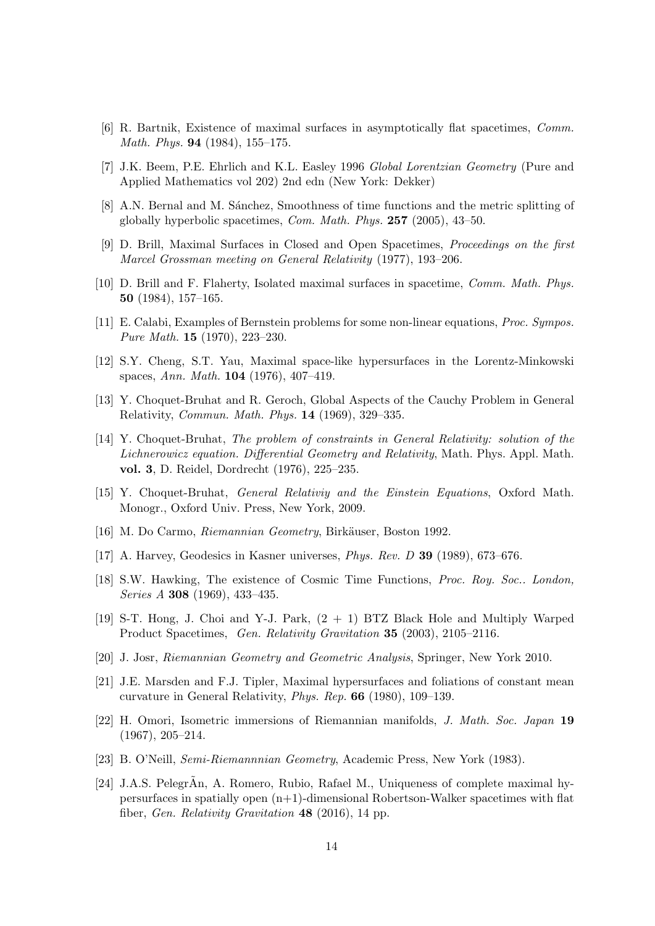- [6] R. Bartnik, Existence of maximal surfaces in asymptotically flat spacetimes, Comm. Math. Phys. 94 (1984), 155–175.
- [7] J.K. Beem, P.E. Ehrlich and K.L. Easley 1996 Global Lorentzian Geometry (Pure and Applied Mathematics vol 202) 2nd edn (New York: Dekker)
- [8] A.N. Bernal and M. Sánchez, Smoothness of time functions and the metric splitting of globally hyperbolic spacetimes, Com. Math. Phys. 257 (2005), 43–50.
- [9] D. Brill, Maximal Surfaces in Closed and Open Spacetimes, Proceedings on the first Marcel Grossman meeting on General Relativity (1977), 193–206.
- [10] D. Brill and F. Flaherty, Isolated maximal surfaces in spacetime, Comm. Math. Phys. 50 (1984), 157–165.
- [11] E. Calabi, Examples of Bernstein problems for some non-linear equations, Proc. Sympos. Pure Math. 15 (1970), 223–230.
- [12] S.Y. Cheng, S.T. Yau, Maximal space-like hypersurfaces in the Lorentz-Minkowski spaces, Ann. Math. 104 (1976), 407–419.
- [13] Y. Choquet-Bruhat and R. Geroch, Global Aspects of the Cauchy Problem in General Relativity, Commun. Math. Phys. 14 (1969), 329–335.
- [14] Y. Choquet-Bruhat, The problem of constraints in General Relativity: solution of the Lichnerowicz equation. Differential Geometry and Relativity, Math. Phys. Appl. Math. vol. 3, D. Reidel, Dordrecht (1976), 225–235.
- [15] Y. Choquet-Bruhat, General Relativiy and the Einstein Equations, Oxford Math. Monogr., Oxford Univ. Press, New York, 2009.
- [16] M. Do Carmo, Riemannian Geometry, Birkäuser, Boston 1992.
- [17] A. Harvey, Geodesics in Kasner universes, Phys. Rev. D 39 (1989), 673–676.
- [18] S.W. Hawking, The existence of Cosmic Time Functions, Proc. Roy. Soc.. London, Series A 308 (1969), 433–435.
- [19] S-T. Hong, J. Choi and Y-J. Park, (2 + 1) BTZ Black Hole and Multiply Warped Product Spacetimes, Gen. Relativity Gravitation 35 (2003), 2105–2116.
- [20] J. Josr, Riemannian Geometry and Geometric Analysis, Springer, New York 2010.
- [21] J.E. Marsden and F.J. Tipler, Maximal hypersurfaces and foliations of constant mean curvature in General Relativity, Phys. Rep. 66 (1980), 109–139.
- [22] H. Omori, Isometric immersions of Riemannian manifolds, J. Math. Soc. Japan 19 (1967), 205–214.
- [23] B. O'Neill, Semi-Riemannnian Geometry, Academic Press, New York (1983).
- [24] J.A.S. Pelegr $\rm\AA$ n, A. Romero, Rubio, Rafael M., Uniqueness of complete maximal hypersurfaces in spatially open (n+1)-dimensional Robertson-Walker spacetimes with flat fiber, Gen. Relativity Gravitation 48 (2016), 14 pp.